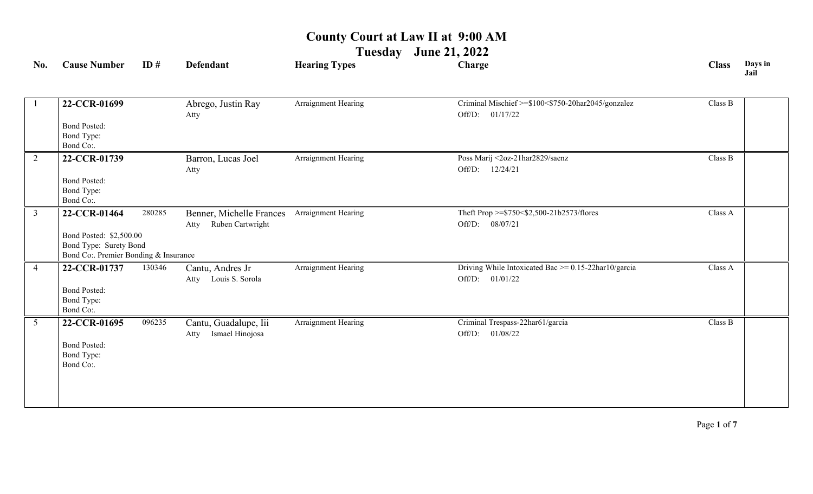**Tuesday June 21, 2022**

| No.             | <b>Cause Number</b>                                                                                        | ID#    | <b>Defendant</b>                                     | <b>Hearing Types</b> | Charge                                                                          | <b>Class</b> | Days in<br>Jail |
|-----------------|------------------------------------------------------------------------------------------------------------|--------|------------------------------------------------------|----------------------|---------------------------------------------------------------------------------|--------------|-----------------|
|                 | 22-CCR-01699<br><b>Bond Posted:</b><br>Bond Type:<br>Bond Co:.                                             |        | Abrego, Justin Ray<br>Atty                           | Arraignment Hearing  | Criminal Mischief >=\$100<\$750-20har2045/gonzalez<br>01/17/22<br>Off/D:        | Class B      |                 |
| 2               | 22-CCR-01739<br><b>Bond Posted:</b><br>Bond Type:<br>Bond Co:.                                             |        | Barron, Lucas Joel<br>Atty                           | Arraignment Hearing  | Poss Marij <2oz-21har2829/saenz<br>12/24/21<br>Off/D:                           | Class B      |                 |
| $\overline{3}$  | 22-CCR-01464<br>Bond Posted: \$2,500.00<br>Bond Type: Surety Bond<br>Bond Co:. Premier Bonding & Insurance | 280285 | Benner, Michelle Frances<br>Ruben Cartwright<br>Atty | Arraignment Hearing  | Theft Prop >=\$750<\$2,500-21b2573/flores<br>08/07/21<br>Off/D:                 | Class A      |                 |
| $\overline{4}$  | 22-CCR-01737<br><b>Bond Posted:</b><br>Bond Type:<br>Bond Co:.                                             | 130346 | Cantu, Andres Jr<br>Louis S. Sorola<br>Atty          | Arraignment Hearing  | Driving While Intoxicated Bac $\ge$ = 0.15-22har10/garcia<br>Off/D:<br>01/01/22 | Class A      |                 |
| $5\overline{)}$ | 22-CCR-01695<br><b>Bond Posted:</b><br>Bond Type:<br>Bond Co:.                                             | 096235 | Cantu, Guadalupe, Iii<br>Ismael Hinojosa<br>Atty     | Arraignment Hearing  | Criminal Trespass-22har61/garcia<br>01/08/22<br>Off/D:                          | Class B      |                 |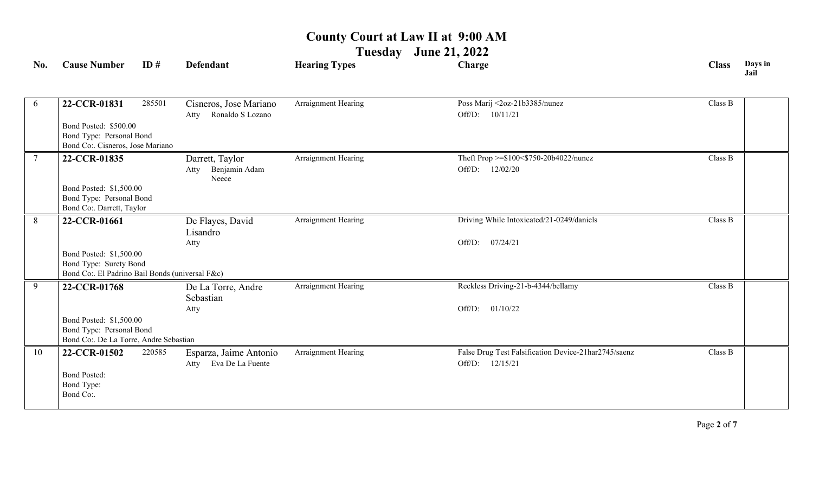**Tuesday June 21, 2022**

| No. | <b>Cause Number</b>                                                       | ID#    | <b>Defendant</b>                                   | <b>Hearing Types</b>       | Charge                                                                  | <b>Class</b> | Days in<br>Jail |
|-----|---------------------------------------------------------------------------|--------|----------------------------------------------------|----------------------------|-------------------------------------------------------------------------|--------------|-----------------|
| 6   | 22-CCR-01831                                                              | 285501 | Cisneros, Jose Mariano                             | Arraignment Hearing        | Poss Marij <2oz-21b3385/nunez                                           | Class B      |                 |
|     |                                                                           |        | Ronaldo S Lozano<br>Atty                           |                            | Off/D: 10/11/21                                                         |              |                 |
|     | Bond Posted: \$500.00                                                     |        |                                                    |                            |                                                                         |              |                 |
|     | Bond Type: Personal Bond<br>Bond Co:. Cisneros, Jose Mariano              |        |                                                    |                            |                                                                         |              |                 |
|     | 22-CCR-01835                                                              |        | Darrett, Taylor                                    | Arraignment Hearing        | Theft Prop >=\$100<\$750-20b4022/nunez                                  | Class B      |                 |
|     |                                                                           |        | Benjamin Adam<br>Atty<br>Neece                     |                            | Off/D: 12/02/20                                                         |              |                 |
|     | Bond Posted: \$1,500.00                                                   |        |                                                    |                            |                                                                         |              |                 |
|     | Bond Type: Personal Bond                                                  |        |                                                    |                            |                                                                         |              |                 |
| 8   | Bond Co:. Darrett, Taylor<br>22-CCR-01661                                 |        |                                                    | <b>Arraignment Hearing</b> | Driving While Intoxicated/21-0249/daniels                               | Class B      |                 |
|     |                                                                           |        | De Flayes, David<br>Lisandro                       |                            |                                                                         |              |                 |
|     |                                                                           |        | Atty                                               |                            | 07/24/21<br>Off/D:                                                      |              |                 |
|     | Bond Posted: \$1,500.00                                                   |        |                                                    |                            |                                                                         |              |                 |
|     | Bond Type: Surety Bond<br>Bond Co:. El Padrino Bail Bonds (universal F&c) |        |                                                    |                            |                                                                         |              |                 |
| 9   | 22-CCR-01768                                                              |        | De La Torre, Andre                                 | Arraignment Hearing        | Reckless Driving-21-b-4344/bellamy                                      | Class B      |                 |
|     |                                                                           |        | Sebastian                                          |                            |                                                                         |              |                 |
|     |                                                                           |        | Atty                                               |                            | 01/10/22<br>Off/D:                                                      |              |                 |
|     | Bond Posted: \$1,500.00<br>Bond Type: Personal Bond                       |        |                                                    |                            |                                                                         |              |                 |
|     | Bond Co:. De La Torre, Andre Sebastian                                    |        |                                                    |                            |                                                                         |              |                 |
| 10  | 22-CCR-01502                                                              | 220585 | Esparza, Jaime Antonio<br>Eva De La Fuente<br>Atty | Arraignment Hearing        | False Drug Test Falsification Device-21har2745/saenz<br>Off/D: 12/15/21 | Class B      |                 |
|     | <b>Bond Posted:</b>                                                       |        |                                                    |                            |                                                                         |              |                 |
|     | Bond Type:<br>Bond Co:.                                                   |        |                                                    |                            |                                                                         |              |                 |
|     |                                                                           |        |                                                    |                            |                                                                         |              |                 |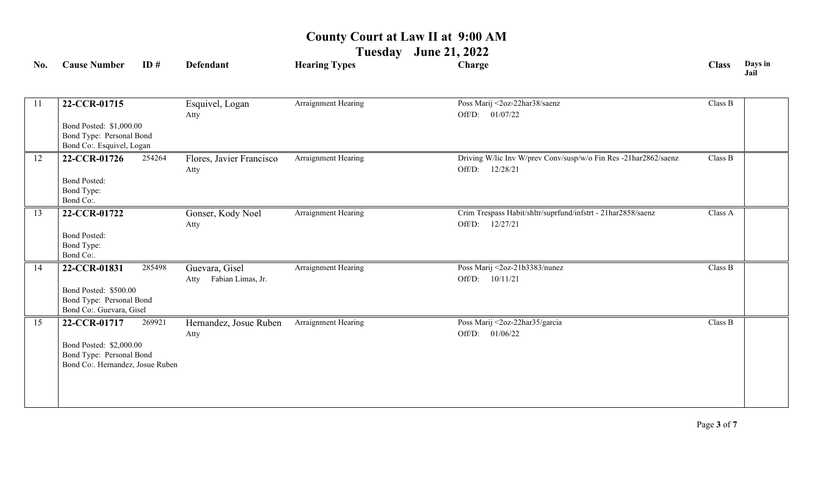**Tuesday June 21, 2022**

| No. | <b>Cause Number</b>                                                                                     | ID#    | <b>Defendant</b>                            | <b>Hearing Types</b> | Charge                                                                                | <b>Class</b> | Days in<br>Jail |
|-----|---------------------------------------------------------------------------------------------------------|--------|---------------------------------------------|----------------------|---------------------------------------------------------------------------------------|--------------|-----------------|
| 11  | 22-CCR-01715<br>Bond Posted: \$1,000.00<br>Bond Type: Personal Bond<br>Bond Co:. Esquivel, Logan        |        | Esquivel, Logan<br>Atty                     | Arraignment Hearing  | Poss Marij <2oz-22har38/saenz<br>Off/D: 01/07/22                                      | Class B      |                 |
| 12  | 22-CCR-01726<br><b>Bond Posted:</b><br>Bond Type:<br>Bond Co:.                                          | 254264 | Flores, Javier Francisco<br>Atty            | Arraignment Hearing  | Driving W/lic Inv W/prev Conv/susp/w/o Fin Res -21har2862/saenz<br>Off/D:<br>12/28/21 | Class B      |                 |
| 13  | 22-CCR-01722<br><b>Bond Posted:</b><br>Bond Type:<br>Bond Co:.                                          |        | Gonser, Kody Noel<br>Atty                   | Arraignment Hearing  | Crim Trespass Habit/shltr/suprfund/infstrt - 21har2858/saenz<br>12/27/21<br>Off/D:    | Class A      |                 |
| 14  | 22-CCR-01831<br>Bond Posted: \$500.00<br>Bond Type: Personal Bond<br>Bond Co:. Guevara, Gisel           | 285498 | Guevara, Gisel<br>Fabian Limas, Jr.<br>Atty | Arraignment Hearing  | Poss Marij <2oz-21b3383/nunez<br>Off/D:<br>10/11/21                                   | Class B      |                 |
| 15  | 22-CCR-01717<br>Bond Posted: \$2,000.00<br>Bond Type: Personal Bond<br>Bond Co:. Hernandez, Josue Ruben | 269921 | Hernandez, Josue Ruben<br>Atty              | Arraignment Hearing  | Poss Marij <2oz-22har35/garcia<br>Off/D: 01/06/22                                     | Class B      |                 |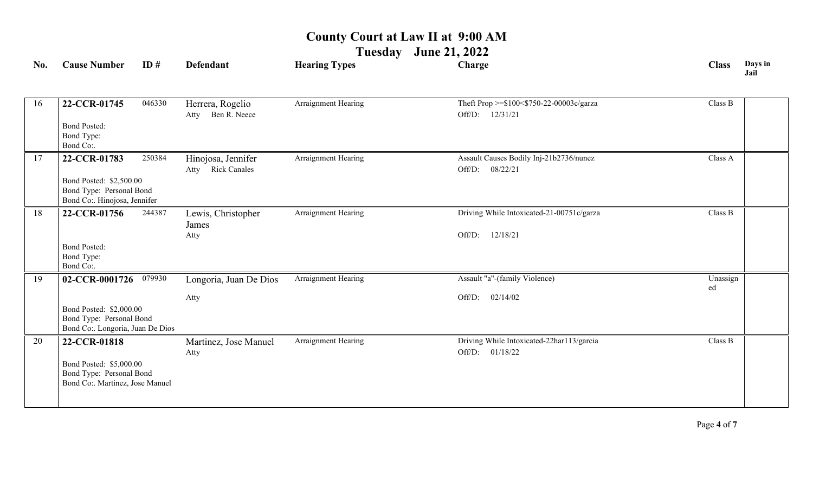**Tuesday June 21, 2022**

| No. | <b>Cause Number</b>                                                                                    | ID#    | <b>Defendant</b>                                  | <b>Hearing Types</b> | Charge                                                          | <b>Class</b>   | Days in<br>Jail |
|-----|--------------------------------------------------------------------------------------------------------|--------|---------------------------------------------------|----------------------|-----------------------------------------------------------------|----------------|-----------------|
| 16  | 22-CCR-01745<br><b>Bond Posted:</b>                                                                    | 046330 | Herrera, Rogelio<br>Ben R. Neece<br>Atty          | Arraignment Hearing  | Theft Prop >=\$100<\$750-22-00003c/garza<br>Off/D: 12/31/21     | Class B        |                 |
|     | Bond Type:<br>Bond Co:.                                                                                |        |                                                   |                      |                                                                 |                |                 |
| 17  | 22-CCR-01783                                                                                           | 250384 | Hinojosa, Jennifer<br><b>Rick Canales</b><br>Atty | Arraignment Hearing  | Assault Causes Bodily Inj-21b2736/nunez<br>08/22/21<br>Off/D:   | Class A        |                 |
|     | Bond Posted: \$2,500.00<br>Bond Type: Personal Bond<br>Bond Co:. Hinojosa, Jennifer                    |        |                                                   |                      |                                                                 |                |                 |
| 18  | 22-CCR-01756                                                                                           | 244387 | Lewis, Christopher<br>James<br>Atty               | Arraignment Hearing  | Driving While Intoxicated-21-00751c/garza<br>12/18/21<br>Off/D: | Class B        |                 |
|     | <b>Bond Posted:</b><br>Bond Type:<br>Bond Co:.                                                         |        |                                                   |                      |                                                                 |                |                 |
| 19  | 02-CCR-0001726                                                                                         | 079930 | Longoria, Juan De Dios                            | Arraignment Hearing  | Assault "a"-(family Violence)                                   | Unassign<br>ed |                 |
|     | Bond Posted: \$2,000.00<br>Bond Type: Personal Bond<br>Bond Co:. Longoria, Juan De Dios                |        | Atty                                              |                      | Off/D:<br>02/14/02                                              |                |                 |
| 20  | 22-CCR-01818<br>Bond Posted: \$5,000.00<br>Bond Type: Personal Bond<br>Bond Co:. Martinez, Jose Manuel |        | Martinez, Jose Manuel<br>Atty                     | Arraignment Hearing  | Driving While Intoxicated-22harl13/garcia<br>Off/D: 01/18/22    | Class B        |                 |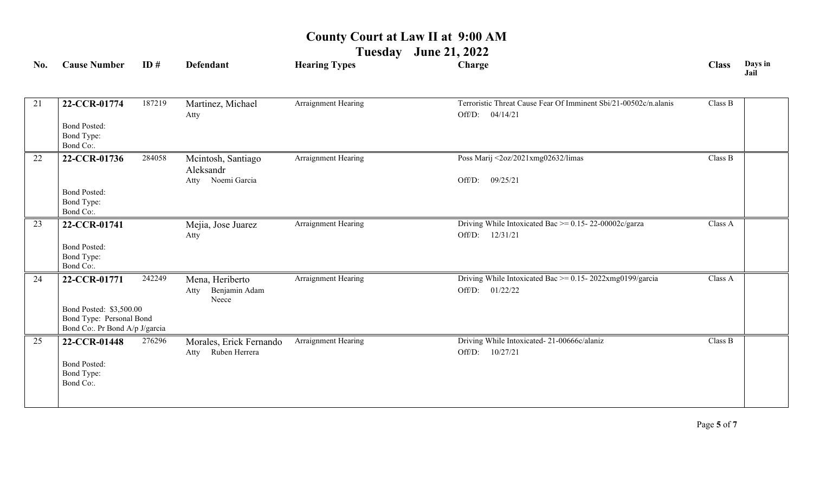#### **Tuesday June 21, 2022**

| No. | <b>Cause Number</b>                                                                                  | ID#    | <b>Defendant</b>                                     | <b>Hearing Types</b>       | Charge                                                                                 | <b>Class</b> | Days in<br>Jail |
|-----|------------------------------------------------------------------------------------------------------|--------|------------------------------------------------------|----------------------------|----------------------------------------------------------------------------------------|--------------|-----------------|
| 21  | 22-CCR-01774<br><b>Bond Posted:</b><br>Bond Type:<br>Bond Co:.                                       | 187219 | Martinez, Michael<br>Atty                            | Arraignment Hearing        | Terroristic Threat Cause Fear Of Imminent Sbi/21-00502c/n.alanis<br>04/14/21<br>Off/D: | Class B      |                 |
| 22  | 22-CCR-01736<br><b>Bond Posted:</b><br>Bond Type:<br>Bond Co:.                                       | 284058 | Mcintosh, Santiago<br>Aleksandr<br>Atty Noemi Garcia | Arraignment Hearing        | Poss Marij <2oz/2021xmg02632/limas<br>Off/D:<br>09/25/21                               | Class B      |                 |
| 23  | 22-CCR-01741<br><b>Bond Posted:</b><br>Bond Type:<br>Bond Co:.                                       |        | Mejia, Jose Juarez<br>Atty                           | <b>Arraignment Hearing</b> | Driving While Intoxicated Bac $\ge$ = 0.15-22-00002c/garza<br>12/31/21<br>Off/D:       | Class A      |                 |
| 24  | 22-CCR-01771<br>Bond Posted: \$3,500.00<br>Bond Type: Personal Bond<br>Bond Co: Pr Bond A/p J/garcia | 242249 | Mena, Heriberto<br>Benjamin Adam<br>Atty<br>Neece    | Arraignment Hearing        | Driving While Intoxicated Bac >= $0.15 - 2022xmg0199/garcia$<br>Off/D:<br>01/22/22     | Class A      |                 |
| 25  | 22-CCR-01448<br><b>Bond Posted:</b><br>Bond Type:<br>Bond Co:.                                       | 276296 | Morales, Erick Fernando<br>Ruben Herrera<br>Atty     | Arraignment Hearing        | Driving While Intoxicated-21-00666c/alaniz<br>Off/D: 10/27/21                          | Class B      |                 |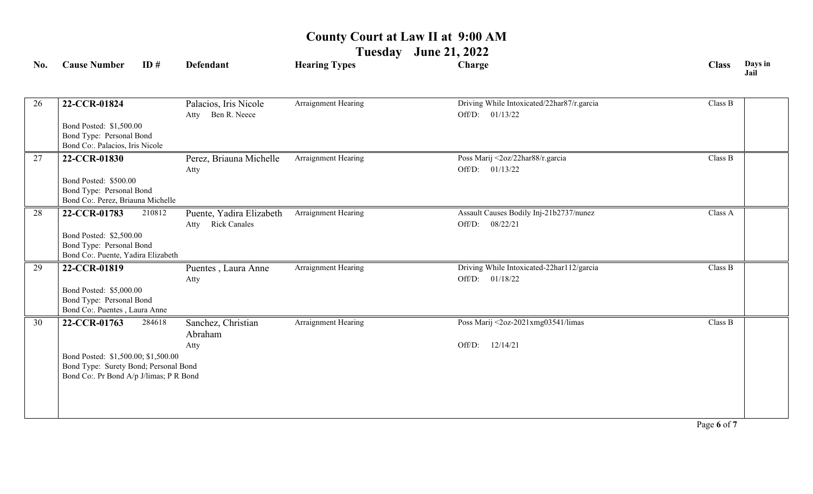**Tuesday June 21, 2022**

| No. | <b>Cause Number</b>                                                                                                     | ID#    | <b>Defendant</b>                                        | <b>Hearing Types</b> | Charge                                                        | <b>Class</b> | Days in<br>Jail |
|-----|-------------------------------------------------------------------------------------------------------------------------|--------|---------------------------------------------------------|----------------------|---------------------------------------------------------------|--------------|-----------------|
| 26  | 22-CCR-01824                                                                                                            |        | Palacios, Iris Nicole<br>Atty Ben R. Neece              | Arraignment Hearing  | Driving While Intoxicated/22har87/r.garcia<br>Off/D: 01/13/22 | Class B      |                 |
|     | Bond Posted: \$1,500.00<br>Bond Type: Personal Bond<br>Bond Co:. Palacios, Iris Nicole                                  |        |                                                         |                      |                                                               |              |                 |
| 27  | 22-CCR-01830<br>Bond Posted: \$500.00<br>Bond Type: Personal Bond<br>Bond Co:. Perez, Briauna Michelle                  |        | Perez, Briauna Michelle<br>Atty                         | Arraignment Hearing  | Poss Marij <2oz/22har88/r.garcia<br>Off/D: 01/13/22           | Class B      |                 |
| 28  | 22-CCR-01783                                                                                                            | 210812 | Puente, Yadira Elizabeth<br><b>Rick Canales</b><br>Atty | Arraignment Hearing  | Assault Causes Bodily Inj-21b2737/nunez<br>Off/D:<br>08/22/21 | Class A      |                 |
|     | Bond Posted: \$2,500.00<br>Bond Type: Personal Bond<br>Bond Co:. Puente, Yadira Elizabeth                               |        |                                                         |                      |                                                               |              |                 |
| 29  | 22-CCR-01819                                                                                                            |        | Puentes, Laura Anne<br>Atty                             | Arraignment Hearing  | Driving While Intoxicated-22har112/garcia<br>Off/D: 01/18/22  | Class B      |                 |
|     | Bond Posted: \$5,000.00<br>Bond Type: Personal Bond<br>Bond Co:. Puentes, Laura Anne                                    |        |                                                         |                      |                                                               |              |                 |
| 30  | 22-CCR-01763                                                                                                            | 284618 | Sanchez, Christian<br>Abraham                           | Arraignment Hearing  | Poss Marij <2oz-2021xmg03541/limas                            | Class B      |                 |
|     | Bond Posted: \$1,500.00; \$1,500.00<br>Bond Type: Surety Bond; Personal Bond<br>Bond Co:. Pr Bond A/p J/limas; P R Bond |        | Atty                                                    |                      | 12/14/21<br>Off/D:                                            |              |                 |